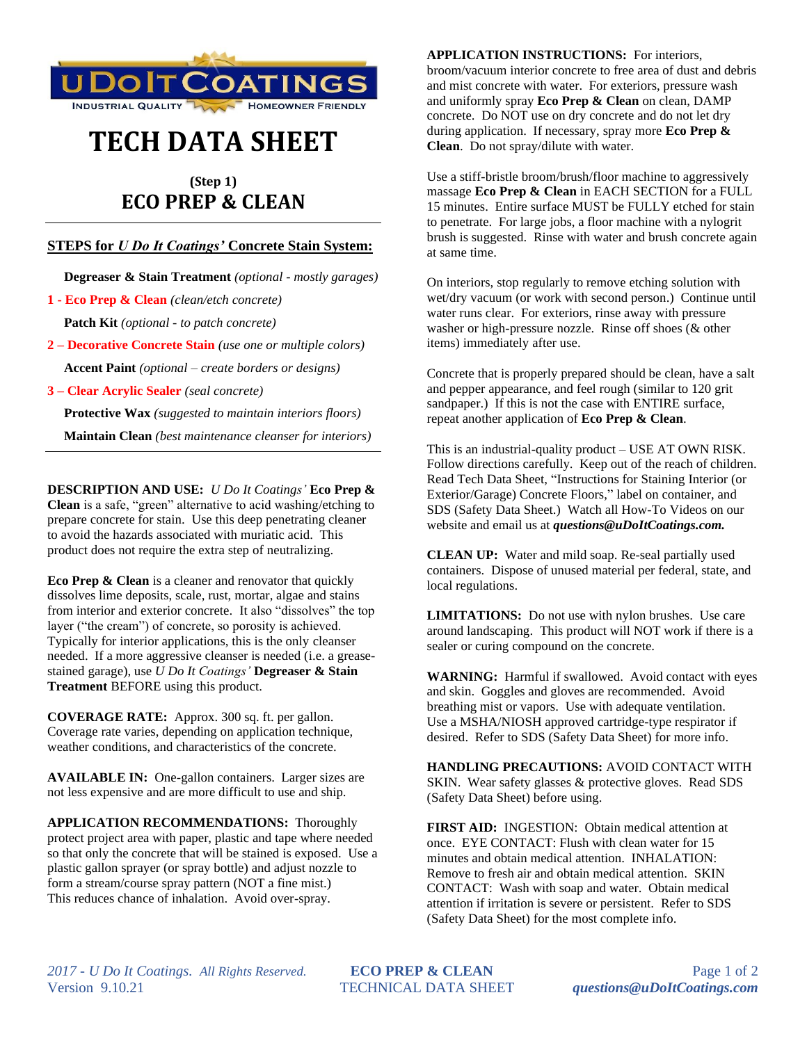

## **TECH DATA SHEET**

## **(Step 1) ECO PREP & CLEAN**

## **STEPS for** *U Do It Coatings'* **Concrete Stain System:**

 **Degreaser & Stain Treatment** *(optional - mostly garages)*

**1 - Eco Prep & Clean** *(clean/etch concrete)*

 **Patch Kit** *(optional - to patch concrete)*

**2 – Decorative Concrete Stain** *(use one or multiple colors)*  **Accent Paint** *(optional – create borders or designs)*

**3 – Clear Acrylic Sealer** *(seal concrete)*

 **Protective Wax** *(suggested to maintain interiors floors)*

 **Maintain Clean** *(best maintenance cleanser for interiors)*

**DESCRIPTION AND USE:** *U Do It Coatings'* **Eco Prep & Clean** is a safe, "green" alternative to acid washing/etching to prepare concrete for stain. Use this deep penetrating cleaner to avoid the hazards associated with muriatic acid. This product does not require the extra step of neutralizing.

**Eco Prep & Clean** is a cleaner and renovator that quickly dissolves lime deposits, scale, rust, mortar, algae and stains from interior and exterior concrete. It also "dissolves" the top layer ("the cream") of concrete, so porosity is achieved. Typically for interior applications, this is the only cleanser needed. If a more aggressive cleanser is needed (i.e. a greasestained garage), use *U Do It Coatings'* **Degreaser & Stain Treatment** BEFORE using this product.

**COVERAGE RATE:** Approx. 300 sq. ft. per gallon. Coverage rate varies, depending on application technique, weather conditions, and characteristics of the concrete.

**AVAILABLE IN:** One-gallon containers. Larger sizes are not less expensive and are more difficult to use and ship.

**APPLICATION RECOMMENDATIONS:** Thoroughly protect project area with paper, plastic and tape where needed so that only the concrete that will be stained is exposed. Use a plastic gallon sprayer (or spray bottle) and adjust nozzle to form a stream/course spray pattern (NOT a fine mist.) This reduces chance of inhalation. Avoid over-spray.

**APPLICATION INSTRUCTIONS:** For interiors, broom/vacuum interior concrete to free area of dust and debris and mist concrete with water. For exteriors, pressure wash and uniformly spray **Eco Prep & Clean** on clean, DAMP concrete. Do NOT use on dry concrete and do not let dry during application. If necessary, spray more **Eco Prep & Clean**. Do not spray/dilute with water.

Use a stiff-bristle broom/brush/floor machine to aggressively massage **Eco Prep & Clean** in EACH SECTION for a FULL 15 minutes. Entire surface MUST be FULLY etched for stain to penetrate. For large jobs, a floor machine with a nylogrit brush is suggested.Rinse with water and brush concrete again at same time.

On interiors, stop regularly to remove etching solution with wet/dry vacuum (or work with second person.) Continue until water runs clear. For exteriors, rinse away with pressure washer or high-pressure nozzle. Rinse off shoes (& other items) immediately after use.

Concrete that is properly prepared should be clean, have a salt and pepper appearance, and feel rough (similar to 120 grit sandpaper.) If this is not the case with ENTIRE surface, repeat another application of **Eco Prep & Clean**.

This is an industrial-quality product – USE AT OWN RISK. Follow directions carefully. Keep out of the reach of children. Read Tech Data Sheet, "Instructions for Staining Interior (or Exterior/Garage) Concrete Floors," label on container, and SDS (Safety Data Sheet.) Watch all How-To Videos on our website and email us at *questions@uDoItCoatings.com.*

**CLEAN UP:** Water and mild soap. Re-seal partially used containers. Dispose of unused material per federal, state, and local regulations.

**LIMITATIONS:** Do not use with nylon brushes. Use care around landscaping. This product will NOT work if there is a sealer or curing compound on the concrete.

**WARNING:** Harmful if swallowed. Avoid contact with eyes and skin. Goggles and gloves are recommended. Avoid breathing mist or vapors. Use with adequate ventilation. Use a MSHA/NIOSH approved cartridge-type respirator if desired. Refer to SDS (Safety Data Sheet) for more info.

**HANDLING PRECAUTIONS:** AVOID CONTACT WITH SKIN. Wear safety glasses & protective gloves. Read SDS (Safety Data Sheet) before using.

**FIRST AID:** INGESTION: Obtain medical attention at once. EYE CONTACT: Flush with clean water for 15 minutes and obtain medical attention. INHALATION: Remove to fresh air and obtain medical attention. SKIN CONTACT: Wash with soap and water. Obtain medical attention if irritation is severe or persistent. Refer to SDS (Safety Data Sheet) for the most complete info.